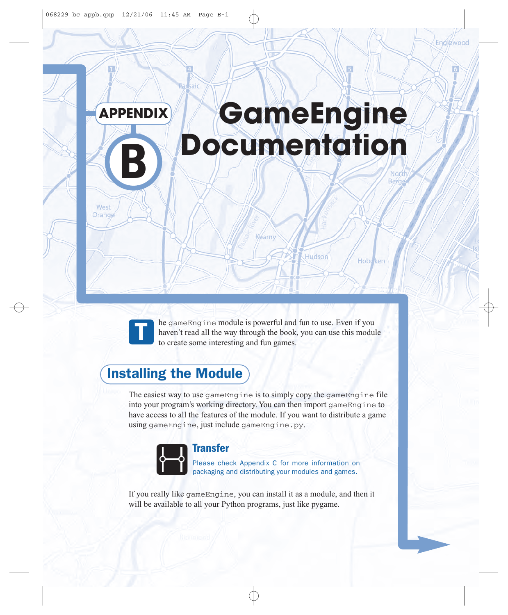# **GameEngine Documentation APPENDIX**

saic



West Orange

> he gameEngine module is powerful and fun to use. Even if you haven't read all the way through the book, you can use this module to create some interesting and fun games.

Hudson

Hobe<sup>ken</sup>

### Installing the Module

The easiest way to use gameEngine is to simply copy the gameEngine file into your program's working directory. You can then import gameEngine to have access to all the features of the module. If you want to distribute a game using gameEngine, just include gameEngine.py.



#### **Transfer**

Please check Appendix C for more information on packaging and distributing your modules and games.

If you really like gameEngine, you can install it as a module, and then it will be available to all your Python programs, just like pygame.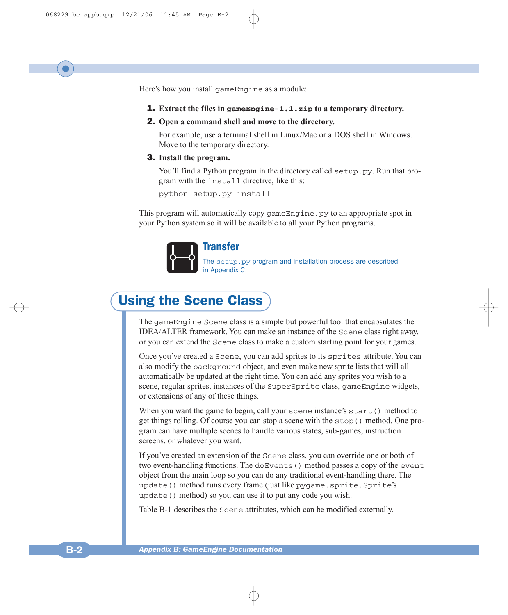Here's how you install gameEngine as a module:

- 1. **Extract the files in gameEngine-1.1.zip to a temporary directory.**
- 2. **Open a command shell and move to the directory.**

For example, use a terminal shell in Linux/Mac or a DOS shell in Windows. Move to the temporary directory.

#### 3. **Install the program.**

You'll find a Python program in the directory called setup.py. Run that program with the install directive, like this:

python setup.py install

This program will automatically copy gameEngine.py to an appropriate spot in your Python system so it will be available to all your Python programs.



#### **Transfer**

The setup.py program and installation process are described in Appendix C.

### Using the Scene Class

The gameEngine Scene class is a simple but powerful tool that encapsulates the IDEA/ALTER framework. You can make an instance of the Scene class right away, or you can extend the Scene class to make a custom starting point for your games.

Once you've created a Scene, you can add sprites to its sprites attribute. You can also modify the background object, and even make new sprite lists that will all automatically be updated at the right time. You can add any sprites you wish to a scene, regular sprites, instances of the SuperSprite class, gameEngine widgets, or extensions of any of these things.

When you want the game to begin, call your scene instance's start() method to get things rolling. Of course you can stop a scene with the stop() method. One program can have multiple scenes to handle various states, sub-games, instruction screens, or whatever you want.

If you've created an extension of the Scene class, you can override one or both of two event-handling functions. The doEvents() method passes a copy of the event object from the main loop so you can do any traditional event-handling there. The update() method runs every frame (just like pygame.sprite.Sprite's update() method) so you can use it to put any code you wish.

Table B-1 describes the Scene attributes, which can be modified externally.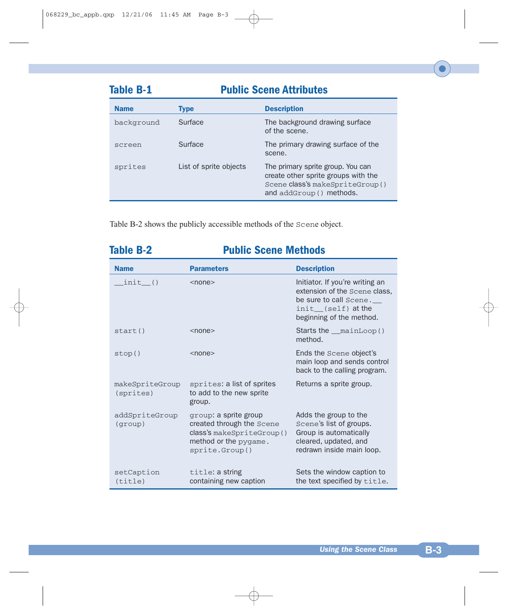| <b>Table B-1</b> | <b>Public Scene Attributes</b> |                                                                                                                                         |
|------------------|--------------------------------|-----------------------------------------------------------------------------------------------------------------------------------------|
| <b>Name</b>      | <b>Type</b>                    | <b>Description</b>                                                                                                                      |
| background       | Surface                        | The background drawing surface<br>of the scene.                                                                                         |
| screen           | Surface                        | The primary drawing surface of the<br>scene.                                                                                            |
| sprites          | List of sprite objects         | The primary sprite group. You can<br>create other sprite groups with the<br>Scene class's makeSpriteGroup()<br>and addGroup () methods. |

Table B-2 shows the publicly accessible methods of the Scene object.

| <b>Table B-2</b>             | <b>Public Scene Methods</b>                                                                                                |                                                                                                                                              |  |
|------------------------------|----------------------------------------------------------------------------------------------------------------------------|----------------------------------------------------------------------------------------------------------------------------------------------|--|
| <b>Name</b>                  | <b>Parameters</b>                                                                                                          | <b>Description</b>                                                                                                                           |  |
| $init$ ()                    | $<$ none $>$                                                                                                               | Initiator. If you're writing an<br>extension of the Scene class,<br>be sure to call Scene.<br>init (self) at the<br>beginning of the method. |  |
| start()                      | $<$ none $>$                                                                                                               | Starts the __mainLoop()<br>method.                                                                                                           |  |
| stop()                       | $<$ none $>$                                                                                                               | Ends the Scene object's<br>main loop and sends control<br>back to the calling program.                                                       |  |
| makeSpriteGroup<br>(sprites) | sprites: a list of sprites<br>to add to the new sprite<br>group.                                                           | Returns a sprite group.                                                                                                                      |  |
| addSpriteGroup<br>(qrow)     | group: a sprite group<br>created through the Scene<br>class's makeSpriteGroup()<br>method or the pygame.<br>sprite.Group() | Adds the group to the<br>Scene's list of groups.<br>Group is automatically<br>cleared, updated, and<br>redrawn inside main loop.             |  |
| setCaption<br>(title)        | title: a string<br>containing new caption                                                                                  | Sets the window caption to<br>the text specified by title.                                                                                   |  |

#### *Using the Scene Class* **B-3**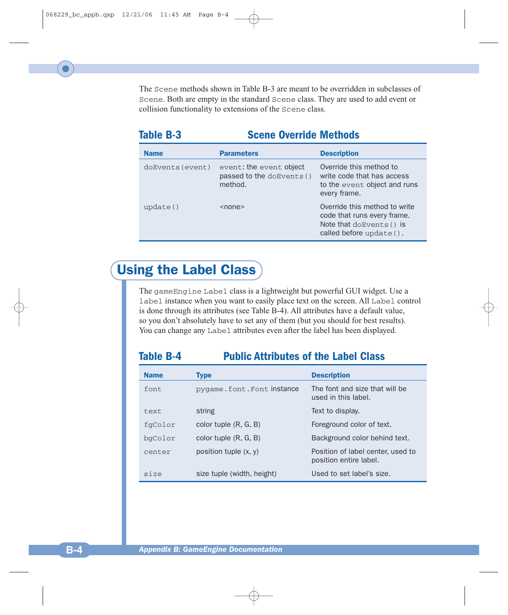The Scene methods shown in Table B-3 are meant to be overridden in subclasses of Scene. Both are empty in the standard Scene class. They are used to add event or collision functionality to extensions of the Scene class.

#### **Table B-3 Scene Override Methods**

| <b>Name</b>      | <b>Parameters</b>                                               | <b>Description</b>                                                                                                  |
|------------------|-----------------------------------------------------------------|---------------------------------------------------------------------------------------------------------------------|
| doEvents (event) | event: the event object<br>passed to the doEvents ()<br>method. | Override this method to<br>write code that has access<br>to the event object and runs<br>every frame.               |
| update()         | $<$ none $>$                                                    | Override this method to write<br>code that runs every frame.<br>Note that doEvents () is<br>called before update(). |

### Using the Label Class

The gameEngine Label class is a lightweight but powerful GUI widget. Use a label instance when you want to easily place text on the screen. All Label control is done through its attributes (see Table B-4). All attributes have a default value, so you don't absolutely have to set any of them (but you should for best results). You can change any Label attributes even after the label has been displayed.

| 401F |  |
|------|--|
|------|--|

#### **Public Attributes of the Label Class**

| <b>Name</b> | <b>Type</b>                | <b>Description</b>                                          |
|-------------|----------------------------|-------------------------------------------------------------|
| font        | pygame.font.Fontinstance   | The font and size that will be<br>used in this label.       |
| text        | string                     | Text to display.                                            |
| fgColor     | color tuple $(R, G, B)$    | Foreground color of text.                                   |
| bqColor     | color tuple $(R, G, B)$    | Background color behind text.                               |
| center      | position tuple $(x, y)$    | Position of label center, used to<br>position entire label. |
| Size        | size tuple (width, height) | Used to set label's size.                                   |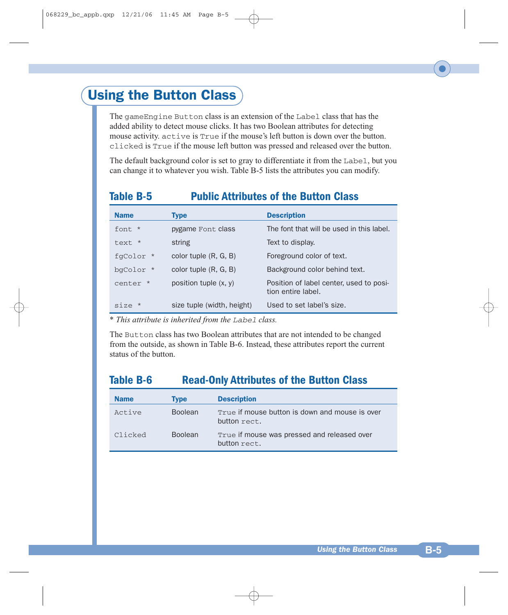### Using the Button Class

The gameEngine Button class is an extension of the Label class that has the added ability to detect mouse clicks. It has two Boolean attributes for detecting mouse activity. active is True if the mouse's left button is down over the button. clicked is True if the mouse left button was pressed and released over the button.

The default background color is set to gray to differentiate it from the Label, but you can change it to whatever you wish. Table B-5 lists the attributes you can modify.

#### **Table B-5 Public Attributes of the Button Class**

| <b>Name</b> | <b>Type</b>                | <b>Description</b>                                            |
|-------------|----------------------------|---------------------------------------------------------------|
| font *      | pygame Font class          | The font that will be used in this label.                     |
| text *      | string                     | Text to display.                                              |
| fgColor *   | color tuple $(R, G, B)$    | Foreground color of text.                                     |
| bqColor *   | color tuple $(R, G, B)$    | Background color behind text.                                 |
| center *    | position tuple $(x, y)$    | Position of label center, used to posi-<br>tion entire label. |
| $size *$    | size tuple (width, height) | Used to set label's size.                                     |

\* *This attribute is inherited from the Label class.*

The Button class has two Boolean attributes that are not intended to be changed from the outside, as shown in Table B-6. Instead, these attributes report the current status of the button.

#### **Table B-6 Read-Only Attributes of the Button Class**

| <b>Name</b> | <b>Type</b>    | <b>Description</b>                                             |
|-------------|----------------|----------------------------------------------------------------|
| Active      | <b>Boolean</b> | True if mouse button is down and mouse is over<br>button rect. |
| Clicked     | <b>Boolean</b> | True if mouse was pressed and released over<br>button rect.    |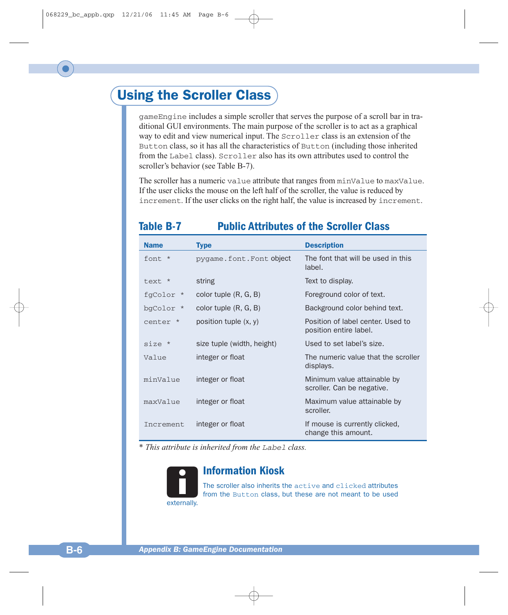### Using the Scroller Class

gameEngine includes a simple scroller that serves the purpose of a scroll bar in traditional GUI environments. The main purpose of the scroller is to act as a graphical way to edit and view numerical input. The Scroller class is an extension of the Button class, so it has all the characteristics of Button (including those inherited from the Label class). Scroller also has its own attributes used to control the scroller's behavior (see Table B-7).

The scroller has a numeric value attribute that ranges from minValue to maxValue. If the user clicks the mouse on the left half of the scroller, the value is reduced by increment. If the user clicks on the right half, the value is increased by increment.

| <b>Name</b> | <b>Type</b>                | <b>Description</b>                                          |
|-------------|----------------------------|-------------------------------------------------------------|
| $f$ ont $*$ | pygame.font.Font object    | The font that will be used in this<br>label.                |
| text *      | string                     | Text to display.                                            |
| fgColor *   | color tuple $(R, G, B)$    | Foreground color of text.                                   |
| bgColor *   | color tuple $(R, G, B)$    | Background color behind text.                               |
| center *    | position tuple $(x, y)$    | Position of label center. Used to<br>position entire label. |
| $size *$    | size tuple (width, height) | Used to set label's size.                                   |
| Value       | integer or float           | The numeric value that the scroller<br>displays.            |
| minValue    | integer or float           | Minimum value attainable by<br>scroller. Can be negative.   |
| maxValue    | integer or float           | Maximum value attainable by<br>scroller.                    |
| Increment   | integer or float           | If mouse is currently clicked,<br>change this amount.       |

#### **Table B-7 Public Attributes of the Scroller Class**

\* *This attribute is inherited from the Label class.*



#### **Information Kiosk**

The scroller also inherits the active and clicked attributes from the Button class, but these are not meant to be used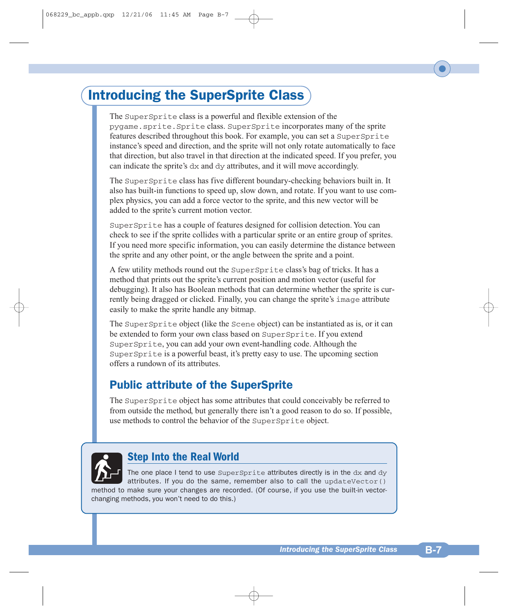### Introducing the SuperSprite Class

The SuperSprite class is a powerful and flexible extension of the pygame.sprite.Sprite class. SuperSprite incorporates many of the sprite features described throughout this book. For example, you can set a SuperSprite instance's speed and direction, and the sprite will not only rotate automatically to face that direction, but also travel in that direction at the indicated speed. If you prefer, you can indicate the sprite's dx and dy attributes, and it will move accordingly.

The SuperSprite class has five different boundary-checking behaviors built in. It also has built-in functions to speed up, slow down, and rotate. If you want to use complex physics, you can add a force vector to the sprite, and this new vector will be added to the sprite's current motion vector.

SuperSprite has a couple of features designed for collision detection. You can check to see if the sprite collides with a particular sprite or an entire group of sprites. If you need more specific information, you can easily determine the distance between the sprite and any other point, or the angle between the sprite and a point.

A few utility methods round out the SuperSprite class's bag of tricks. It has a method that prints out the sprite's current position and motion vector (useful for debugging). It also has Boolean methods that can determine whether the sprite is currently being dragged or clicked. Finally, you can change the sprite's image attribute easily to make the sprite handle any bitmap.

The SuperSprite object (like the Scene object) can be instantiated as is, or it can be extended to form your own class based on SuperSprite. If you extend SuperSprite, you can add your own event-handling code. Although the SuperSprite is a powerful beast, it's pretty easy to use. The upcoming section offers a rundown of its attributes.

### Public attribute of the SuperSprite

The SuperSprite object has some attributes that could conceivably be referred to from outside the method, but generally there isn't a good reason to do so. If possible, use methods to control the behavior of the SuperSprite object.



#### **Step Into the Real World**

The one place I tend to use  $Supersprite$  attributes directly is in the  $dx$  and  $dy$ attributes. If you do the same, remember also to call the updateVector() method to make sure your changes are recorded. (Of course, if you use the built-in vectorchanging methods, you won't need to do this.)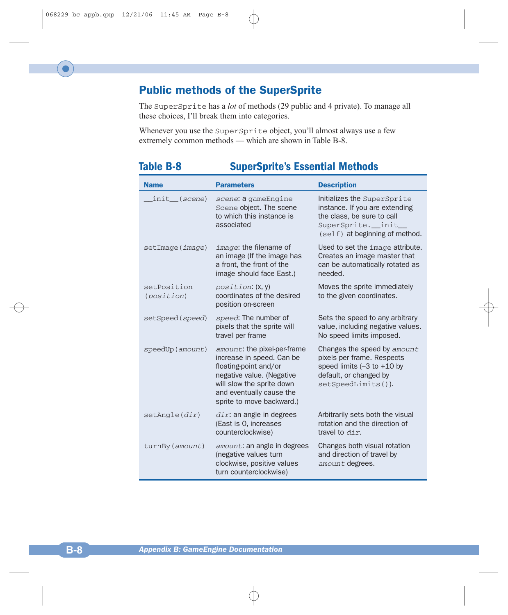### Public methods of the SuperSprite

The SuperSprite has a *lot* of methods (29 public and 4 private). To manage all these choices, I'll break them into categories.

Whenever you use the SuperSprite object, you'll almost always use a few extremely common methods — which are shown in Table B-8.

| able B-8                  | <b>SuperSprite's Essential Methods</b>                                                                                                                                                               |                                                                                                                                                      |  |
|---------------------------|------------------------------------------------------------------------------------------------------------------------------------------------------------------------------------------------------|------------------------------------------------------------------------------------------------------------------------------------------------------|--|
| <b>Name</b>               | <b>Parameters</b>                                                                                                                                                                                    | <b>Description</b>                                                                                                                                   |  |
| init_( <i>scene</i> )     | scene: a gameEngine<br>Scene object. The scene<br>to which this instance is<br>associated                                                                                                            | Initializes the SuperSprite<br>instance. If you are extending<br>the class, be sure to call<br>SuperSprite.__init_<br>(self) at beginning of method. |  |
| setImage(image)           | $image:$ the filename of<br>an image (If the image has<br>a front, the front of the<br>image should face East.)                                                                                      | Used to set the image attribute.<br>Creates an image master that<br>can be automatically rotated as<br>needed.                                       |  |
| setPosition<br>(position) | position: (x, y)<br>coordinates of the desired<br>position on-screen                                                                                                                                 | Moves the sprite immediately<br>to the given coordinates.                                                                                            |  |
| setSpeed (speed)          | speed: The number of<br>pixels that the sprite will<br>travel per frame                                                                                                                              | Sets the speed to any arbitrary<br>value, including negative values.<br>No speed limits imposed.                                                     |  |
| speedUp (amount)          | amount: the pixel-per-frame<br>increase in speed. Can be<br>floating-point and/or<br>negative value. (Negative<br>will slow the sprite down<br>and eventually cause the<br>sprite to move backward.) | Changes the speed by amount<br>pixels per frame. Respects<br>speed limits $(-3$ to $+10$ by<br>default, or changed by<br>$setspeedLimits()$ ).       |  |
| setAngle(dir)             | $dir:$ an angle in degrees<br>(East is 0, increases<br>counterclockwise)                                                                                                                             | Arbitrarily sets both the visual<br>rotation and the direction of<br>travel to $dir.$                                                                |  |
| turnBy (amount)           | amount: an angle in degrees<br>(negative values turn<br>clockwise, positive values<br>turn counterclockwise)                                                                                         | Changes both visual rotation<br>and direction of travel by<br>amount degrees.                                                                        |  |

#### **Table B-8 SuperSprite's Essential Methods**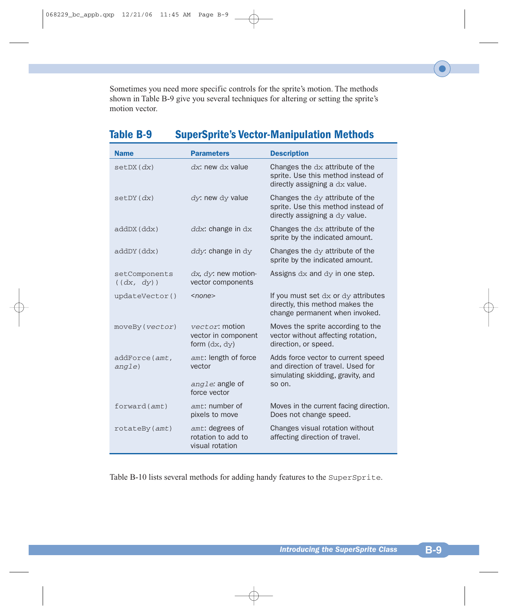Sometimes you need more specific controls for the sprite's motion. The methods shown in Table B-9 give you several techniques for altering or setting the sprite's motion vector.

| Table B-9 |  | <b>SuperSprite's Vector-Manipulation Methods</b> |  |
|-----------|--|--------------------------------------------------|--|
|-----------|--|--------------------------------------------------|--|

| <b>Name</b>                 | <b>Parameters</b>                                        | <b>Description</b>                                                                                           |
|-----------------------------|----------------------------------------------------------|--------------------------------------------------------------------------------------------------------------|
| setDX(dx)                   | $dx$ : new $dx$ value                                    | Changes the dx attribute of the<br>sprite. Use this method instead of<br>directly assigning a dx value.      |
| setDY(dx)                   | $\frac{dy}{dx}$ new $\frac{dy}{dx}$ value                | Changes the dy attribute of the<br>sprite. Use this method instead of<br>directly assigning a dy value.      |
| addDX(ddx)                  | $ddx$ : change in $dx$                                   | Changes the dx attribute of the<br>sprite by the indicated amount.                                           |
| addDY(ddx)                  | $ddy$ : change in $dy$                                   | Changes the dy attribute of the<br>sprite by the indicated amount.                                           |
| setComponents<br>((dx, dy)) | $dx$ , $dy$ : new motion-<br>vector components           | Assigns dx and dy in one step.                                                                               |
| updateVector()              | <none></none>                                            | If you must set dx or dy attributes<br>directly, this method makes the<br>change permanent when invoked.     |
| moveBy (vector)             | vector: motion<br>vector in component<br>form $(dx, dy)$ | Moves the sprite according to the<br>vector without affecting rotation,<br>direction, or speed.              |
| addForce(amt,<br>angle)     | amt: length of force<br>vector                           | Adds force vector to current speed<br>and direction of travel. Used for<br>simulating skidding, gravity, and |
|                             | angle: angle of<br>force vector                          | so on.                                                                                                       |
| forward(amt)                | $amt$ : number of<br>pixels to move                      | Moves in the current facing direction.<br>Does not change speed.                                             |
| rotateBy(amt)               | amt: degrees of<br>rotation to add to<br>visual rotation | Changes visual rotation without<br>affecting direction of travel.                                            |

Table B-10 lists several methods for adding handy features to the SuperSprite.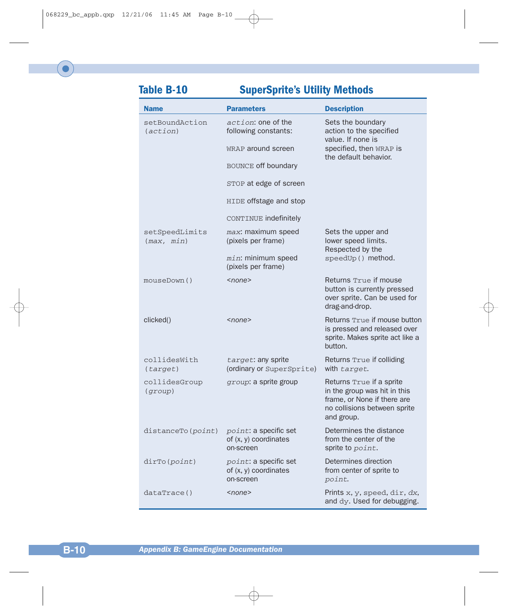### **Table B-10 SuperSprite's Utility Methods**

| <b>Name</b>                  | <b>Parameters</b>                                                  | <b>Description</b>                                                                                                                    |
|------------------------------|--------------------------------------------------------------------|---------------------------------------------------------------------------------------------------------------------------------------|
| setBoundAction<br>(action)   | action: one of the<br>following constants:                         | Sets the boundary<br>action to the specified<br>value. If none is                                                                     |
|                              | WRAP around screen                                                 | specified, then WRAP is<br>the default behavior.                                                                                      |
|                              | BOUNCE off boundary                                                |                                                                                                                                       |
|                              | STOP at edge of screen                                             |                                                                                                                                       |
|                              | HIDE offstage and stop                                             |                                                                                                                                       |
|                              | CONTINUE indefinitely                                              |                                                                                                                                       |
| setSpeedLimits<br>(max, min) | max: maximum speed<br>(pixels per frame)                           | Sets the upper and<br>lower speed limits.<br>Respected by the                                                                         |
|                              | $min$ : minimum speed<br>(pixels per frame)                        | speedUp() method.                                                                                                                     |
| mouseDown()                  | $<$ none $>$                                                       | Returns True if mouse<br>button is currently pressed<br>over sprite. Can be used for<br>drag-and-drop.                                |
| clicked()                    | <none></none>                                                      | Returns True if mouse button<br>is pressed and released over<br>sprite. Makes sprite act like a<br>button.                            |
| collidesWith<br>(target)     | target: any sprite<br>(ordinary or SuperSprite)                    | Returns True if colliding<br>with target.                                                                                             |
| collidesGroup<br>(qrowp)     | group: a sprite group                                              | Returns True if a sprite<br>in the group was hit in this<br>frame, or None if there are<br>no collisions between sprite<br>and group. |
| distanceTo(point)            | point: a specific set<br>of (x, y) coordinates<br>on-screen        | Determines the distance<br>from the center of the<br>sprite to point.                                                                 |
| dirTo (point)                | <i>point:</i> a specific set<br>of (x, y) coordinates<br>on-screen | Determines direction<br>from center of sprite to<br>point.                                                                            |
| dataTrace()                  | <none></none>                                                      | Prints x, y, speed, dir, dx,<br>and dy. Used for debugging.                                                                           |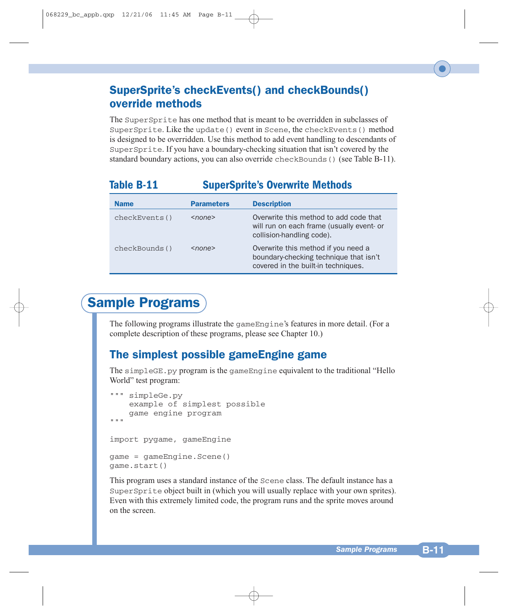#### SuperSprite's checkEvents() and checkBounds() override methods

The SuperSprite has one method that is meant to be overridden in subclasses of SuperSprite. Like the update() event in Scene, the checkEvents() method is designed to be overridden. Use this method to add event handling to descendants of SuperSprite. If you have a boundary-checking situation that isn't covered by the standard boundary actions, you can also override checkBounds() (see Table B-11).

### **Table B-11 SuperSprite's Overwrite Methods**

| <b>Name</b>   | <b>Parameters</b> | <b>Description</b>                                                                                                   |
|---------------|-------------------|----------------------------------------------------------------------------------------------------------------------|
| checkEvents() | $<$ none $>$      | Overwrite this method to add code that<br>will run on each frame (usually event- or<br>collision-handling code).     |
| checkBounds() | $<$ none $>$      | Overwrite this method if you need a<br>boundary-checking technique that isn't<br>covered in the built-in techniques. |

## Sample Programs

The following programs illustrate the gameEngine's features in more detail. (For a complete description of these programs, please see Chapter 10.)

### The simplest possible gameEngine game

The simpleGE.py program is the gameEngine equivalent to the traditional "Hello World" test program:

```
""" simpleGe.py 
    example of simplest possible
    game engine program
"" "
import pygame, gameEngine
game = gameEngine.Scene()
game.start()
```
This program uses a standard instance of the Scene class. The default instance has a SuperSprite object built in (which you will usually replace with your own sprites). Even with this extremely limited code, the program runs and the sprite moves around on the screen.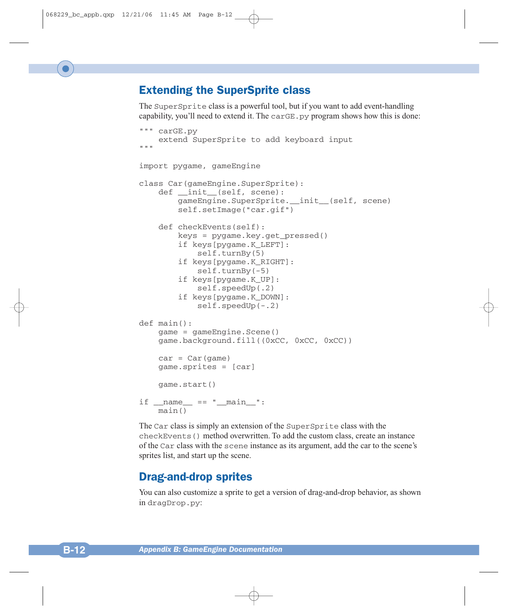#### Extending the SuperSprite class

The SuperSprite class is a powerful tool, but if you want to add event-handling capability, you'll need to extend it. The  $carGE.py$  program shows how this is done:

```
""" carGE.py 
    extend SuperSprite to add keyboard input
"" ""
import pygame, gameEngine
class Car(gameEngine.SuperSprite):
    def __init__(self, scene):
        gameEngine.SuperSprite. init (self, scene)
        self.setImage("car.gif")
    def checkEvents(self):
        keys = pygame.key.get_pressed()
        if keys[pygame.K_LEFT]:
            self.turnBy(5)
        if keys[pygame.K_RIGHT]:
            self.turnBy(-5)
        if keys[pygame.K_UP]:
            self.speedUp(.2)
        if keys[pygame.K_DOWN]:
            self.speedUp(-.2)
def main():
    game = gameEngine.Scene()
    game.background.fill((0xCC, 0xCC, 0xCC))
    car = Car(qame)game.sprites = [car]
    game.start()
if _name  == " main " :
    main()
```
The Car class is simply an extension of the SuperSprite class with the checkEvents() method overwritten. To add the custom class, create an instance of the Car class with the scene instance as its argument, add the car to the scene's sprites list, and start up the scene.

#### Drag-and-drop sprites

You can also customize a sprite to get a version of drag-and-drop behavior, as shown in dragDrop.py: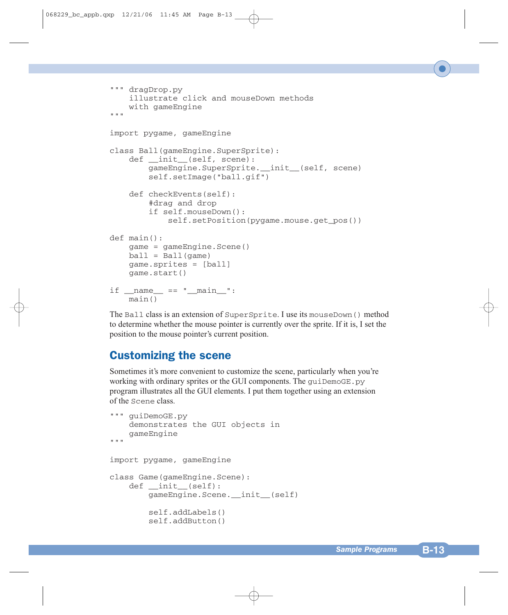```
""" dragDrop.py
    illustrate click and mouseDown methods
    with gameEngine
"""
import pygame, gameEngine
class Ball(gameEngine.SuperSprite):
    def __init__(self, scene):
        gameEngine.SuperSprite.__init__(self, scene)
        self.setImage("ball.gif")
    def checkEvents(self):
        #drag and drop
        if self.mouseDown():
            self.setPosition(pygame.mouse.get_pos())
def main():
    game = gameEngine.Scene()
    ball = Ball(qame)game.sprites = [ball]
    game.start()
if __name__ == "__main__":main()
```
The Ball class is an extension of SuperSprite. I use its mouseDown() method to determine whether the mouse pointer is currently over the sprite. If it is, I set the position to the mouse pointer's current position.

#### Customizing the scene

Sometimes it's more convenient to customize the scene, particularly when you're working with ordinary sprites or the GUI components. The guiDemoGE.py program illustrates all the GUI elements. I put them together using an extension of the Scene class.

```
""" guiDemoGE.py 
    demonstrates the GUI objects in
    gameEngine
"""
import pygame, gameEngine
class Game(gameEngine.Scene):
    def __init__(self):
        gameEngine.Scene.__init__(self)
        self.addLabels()
        self.addButton()
```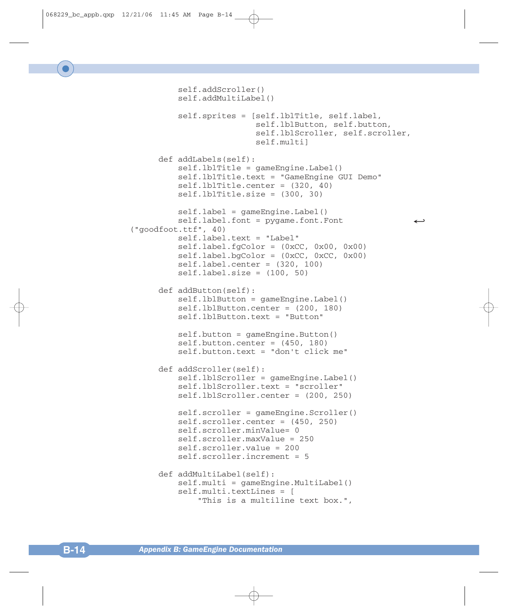```
self.addScroller()
         self.addMultiLabel()
         self.sprites = [self.lblTitle, self.label,
                         self.lblButton, self.button,
                         self.lblScroller, self.scroller,
                         self.multi]
     def addLabels(self):
         self.lblTitle = gameEngine.Label()
         self.lblTitle.text = "GameEngine GUI Demo"
         self.lblTitle.center = (320, 40)
         self.lblTitle.size = (300, 30)
         self.label = gameEngine.Label()
         selfu = pyqamefoot. Font
("goodfoot.ttf", 40)
         self.label.text = "Label"
         selfu = (0xCC, 0x00, 0x00)selfu = (0xCC, 0xCC, 0x00)self.label.center = (320, 100)
         selfu = (100, 50)def addButton(self): 
         self.lblButton = gameEngine.Label()
         self.lblButton.center = (200, 180)
         self.lblButton.text = "Button"
         self.button = gameEngine.Button()
         self.button.center = (450, 180)self.button.text = "don't click me"
     def addScroller(self):
         self.lblScroller = gameEngine.Label()
         self.lblScroller.text = "scroller"
         self.lblScroller.center = (200, 250)
         self.scroller = gameEngine.Scroller()
         self.scroller.center = (450, 250)
         self.scroller.minValue= 0
         self.scroller.maxValue = 250
         self.scroller.value = 200
         self.scroller.increment = 5
     def addMultiLabel(self):
         self.multi = gameEngine.MultiLabel()
         self.multi.textLines = [
             "This is a multiline text box.",
```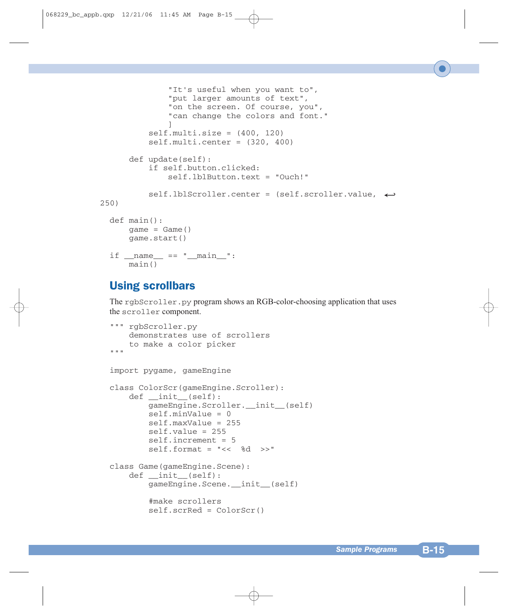```
"It's useful when you want to",
              "put larger amounts of text",
              "on the screen. Of course, you",
              "can change the colors and font."
              ]
          self.multi.size = (400, 120)self.multi.center = (320, 400)
      def update(self): 
          if self.button.clicked:
              self.lblButton.text = "Ouch!"
          self.lblScroller.center = (self.scroller.value, 9
250)
 def main():
      \text{game} = \text{Game}()game.start()
 if name = " main ":
      main()
```
#### Using scrollbars

The rgbScroller.py program shows an RGB-color-choosing application that uses the scroller component.

```
""" rgbScroller.py 
    demonstrates use of scrollers
    to make a color picker
"" "
import pygame, gameEngine
class ColorScr(gameEngine.Scroller):
    def __init__(self):
        gameEngine.Scroller.__init__(self)
        self.minValue = 0
        self.maxValue = 255
        self.value = 255
        self.increment = 5
        self.format = "<< %d >>"
class Game(gameEngine.Scene):
    def __init__(self):
        gameEngine.Scene.__init__(self)
        #make scrollers
        self.scrRed = ColorScr()
```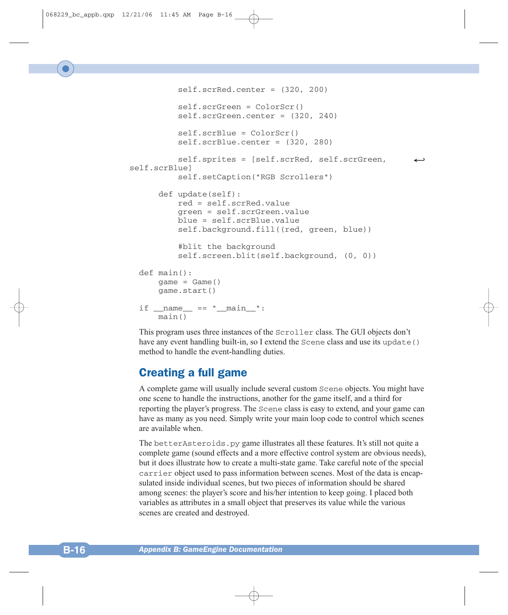```
self.scrRed.center = (320, 200)
          self.scrGreen = ColorScr()
          self.scrGreen.center = (320, 240)
          self.scrBlue = ColorScr()
          self.scrBlue.center = (320, 280)
          self.sprites = [self.scrRed, self.scrGreen,
self.scrBlue]
          self.setCaption("RGB Scrollers")
      def update(self):
          red = self.scrRed.value
          green = self.scrGreen.value
          blue = self.scrBlue.value
          self.background.fill((red, green, blue))
          #blit the background
          self.screen.blit(self.background, (0, 0))
 def main():
     \text{qame} = \text{Game}()game.start()
 if __name__ == " __main__":
     main()
```
This program uses three instances of the Scroller class. The GUI objects don't have any event handling built-in, so I extend the Scene class and use its update () method to handle the event-handling duties.

#### Creating a full game

A complete game will usually include several custom Scene objects. You might have one scene to handle the instructions, another for the game itself, and a third for reporting the player's progress. The Scene class is easy to extend, and your game can have as many as you need. Simply write your main loop code to control which scenes are available when.

The better Asteroids. py game illustrates all these features. It's still not quite a complete game (sound effects and a more effective control system are obvious needs), but it does illustrate how to create a multi-state game. Take careful note of the special carrier object used to pass information between scenes. Most of the data is encapsulated inside individual scenes, but two pieces of information should be shared among scenes: the player's score and his/her intention to keep going. I placed both variables as attributes in a small object that preserves its value while the various scenes are created and destroyed.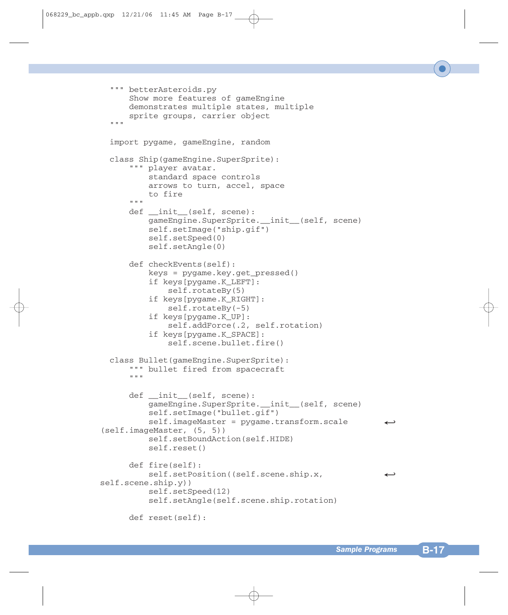```
""" betterAsteroids.py 
      Show more features of gameEngine
      demonstrates multiple states, multiple
      sprite groups, carrier object
  """
 import pygame, gameEngine, random
 class Ship(gameEngine.SuperSprite):
      """ player avatar.
          standard space controls
          arrows to turn, accel, space
          to fire
      " " "
      def __init__(self, scene):
          gameEngine.SuperSprite.__init__(self, scene)
          self.setImage("ship.gif")
          self.setSpeed(0)
          self.setAngle(0)
      def checkEvents(self):
          keys = pygame.key.get_pressed()
          if keys[pygame.K_LEFT]:
              self.rotateBy(5)
          if keys[pyqame.K RIGHT]:
              self.rotateBy(-5)
          if keys[pygame.K_UP]:
              self.addForce(.2, self.rotation)
          if keys[pygame.K_SPACE]:
              self.scene.bullet.fire()
 class Bullet(gameEngine.SuperSprite):
      """ bullet fired from spacecraft 
      """
      def __init__(self, scene):
          gameEngine.SuperSprite. init (self, scene)
          self.setImage("bullet.gif")
          self.imageMaster = pygame.transform.scale
(self.imageMaster, (5, 5))
          self.setBoundAction(self.HIDE)
          self.reset()
      def fire(self):
          self.setPosition((self.scene.ship.x,
self.scene.ship.y))
          self.setSpeed(12)
          self.setAngle(self.scene.ship.rotation)
      def reset(self):
```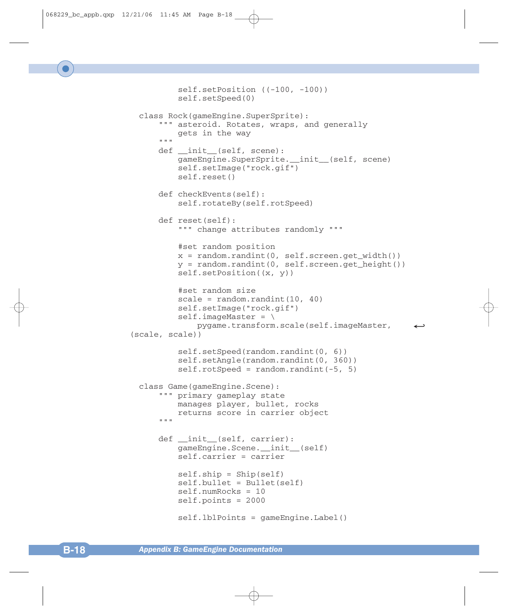```
self.setPosition ((-100, -100))
          self.setSpeed(0)
 class Rock(gameEngine.SuperSprite):
      """ asteroid. Rotates, wraps, and generally
          gets in the way
      """
      def __init__(self, scene):
          gameEngine.SuperSprite.__init__(self, scene)
          self.setImage("rock.gif")
          self.reset()
      def checkEvents(self):
          self.rotateBy(self.rotSpeed)
      def reset(self):
          """ change attributes randomly """
          #set random position
          x = random.random(0, self.screen.getwidth())y = random.randint(0, self.screen.get_height())
          self.setPosition((x, y))
          #set random size
          scale = random.random(10, 40)self.setImage("rock.gif")
          self.inageMaster = \n\pygame.transform.scale(self.imageMaster, 9
(scale, scale))
          self.setSpeed(random.randint(0, 6))
          self.setAngle(random.randint(0, 360))
          self.rotSpeed = random.random() (-5, 5)
 class Game(gameEngine.Scene):
      """ primary gameplay state
          manages player, bullet, rocks
          returns score in carrier object
      \mathbf{u} \cdot \mathbf{u} \cdot \mathbf{u}def __init (self, carrier):
          gameEngine.Scene.__init__(self)
          self.carrier = carrier
          self.ship = Ship(self)
          self.bullet = Bullet(self)
          self.numRocks = 10
          self.points = 2000
          self.lblPoints = gameEngine.Label()
```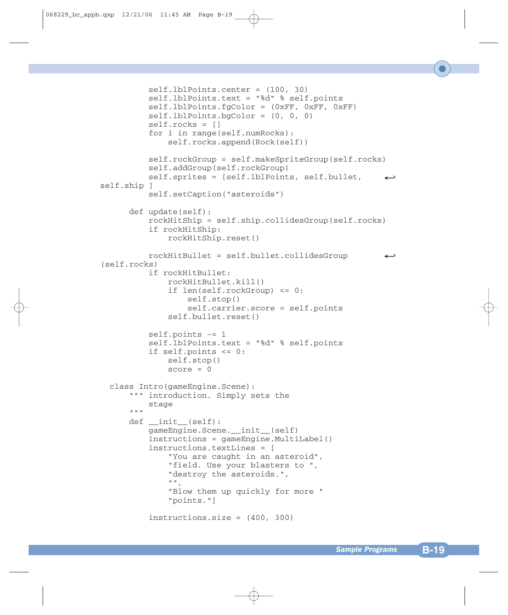```
self.lblPoints.center = (100, 30)
          self.lblPoints.text = "%d" % self.points
          self.lblPoints.fgColor = (0xFF, 0xFF, 0xFF)
          self.lblPoints.bgColor = (0, 0, 0)
          self.rocks = []
          for i in range(self.numRocks):
              self.rocks.append(Rock(self))
          self.rockGroup = self.makeSpriteGroup(self.rocks)
          self.addGroup(self.rockGroup)
          self.sprites = [self.1blPoints, self.bullet,
self.ship ]
          self.setCaption("asteroids") 
      def update(self):
          rockHitShip = self.ship.collidesGroup(self.rocks)
          if rockHitShip:
              rockHitShip.reset()
          rockHitBullet = self.bullet.collidesGroup 9
(self.rocks)
          if rockHitBullet:
              rockHitBullet.kill()
              if len(self.rockGroup) <= 0:
                  self.stop()
                  self.carrier.score = self.points
              self.bullet.reset()
          self.points -= 1
          self.lblPoints.text = "%d" % self.points
          if self.points <= 0:
              self.stop()
              score = 0class Intro(gameEngine.Scene):
      """ introduction. Simply sets the
          stage
      \mathbf{u} " \mathbf{u}def __init__(self):
          gameEngine.Scene. init (self)
          instructions = gameEngine.MultiLabel()
          instructions.textLines = [
              "You are caught in an asteroid",
              "field. Use your blasters to ",
              "destroy the asteroids.",
              "",
              "Blow them up quickly for more "
              "points."]
          instructions.size = (400, 300)
```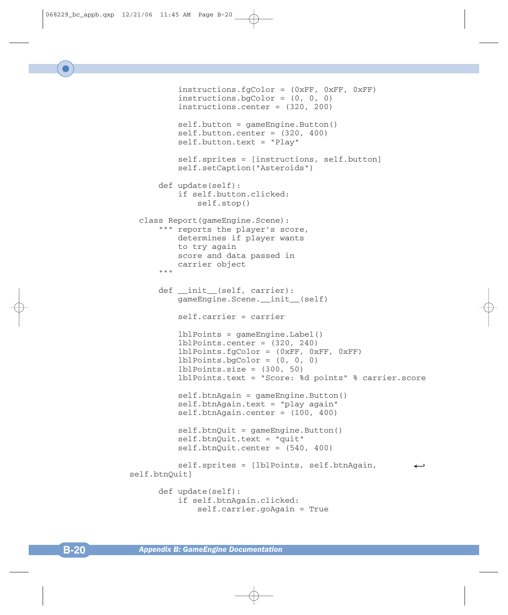```
instructions.fgColor = (0xFF, 0xFF, 0xFF)
          instructions.bgColor = (0, 0, 0)
          instructions.center = (320, 200)
          self.button = gameEngine.Button()
          self.button.center = (320, 400)self.button.text = "Play"
          self.sprites = [instructions, self.button]
          self.setCaption("Asteroids")
      def update(self):
          if self.button.clicked:
              self.stop()
  class Report(gameEngine.Scene):
      """ reports the player's score, 
          determines if player wants 
          to try again
          score and data passed in 
          carrier object
      " " "
      def __init__(self, carrier):
          gameEngine.Scene. init (self)
          self.carrier = carrier
          lblPoints = gameEngine.Label()
          lblPoints.center = (320, 240)
          lblPoints.fgColor = (0xFF, 0xFF, 0xFF)
          lblPoints.bgColor = (0, 0, 0) 
          1b1Points.size = (300, 50)lblPoints.text = "Score: %d points" % carrier.score
          self.btnAgain = gameEngine.Button()
          self.btnAgain.text = "play again"
          self.btnAgain.center = (100, 400)
          self.btnQuit = gameEngineering.Button()self.btnQuit.text = "quit"
          self.btnQuit.center = (540, 400)
          self.sprites = [lblPoints, self.btnAgain,
self.btnQuit]
      def update(self):
          if self.btnAgain.clicked:
              self.carrier.goAgain = True
```